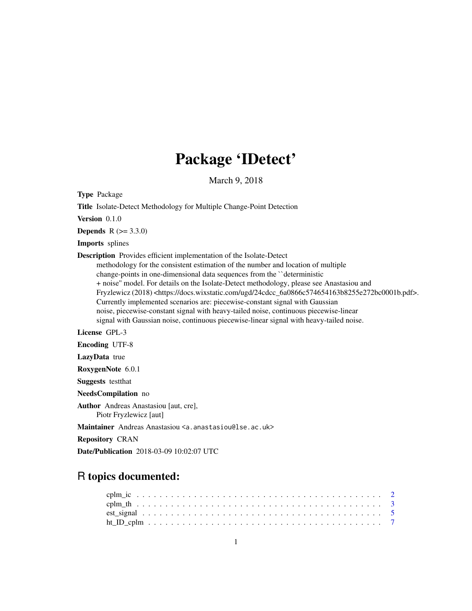# Package 'IDetect'

March 9, 2018

Type Package Title Isolate-Detect Methodology for Multiple Change-Point Detection Version 0.1.0 **Depends**  $R (= 3.3.0)$ Imports splines Description Provides efficient implementation of the Isolate-Detect methodology for the consistent estimation of the number and location of multiple change-points in one-dimensional data sequences from the ``deterministic + noise'' model. For details on the Isolate-Detect methodology, please see Anastasiou and Fryzlewicz (2018) <https://docs.wixstatic.com/ugd/24cdcc\_6a0866c574654163b8255e272bc0001b.pdf>. Currently implemented scenarios are: piecewise-constant signal with Gaussian noise, piecewise-constant signal with heavy-tailed noise, continuous piecewise-linear signal with Gaussian noise, continuous piecewise-linear signal with heavy-tailed noise. License GPL-3 Encoding UTF-8 LazyData true RoxygenNote 6.0.1 Suggests testthat NeedsCompilation no Author Andreas Anastasiou [aut, cre], Piotr Fryzlewicz [aut] Maintainer Andreas Anastasiou <a.anastasiou@lse.ac.uk>

Repository CRAN

Date/Publication 2018-03-09 10:02:07 UTC

# R topics documented: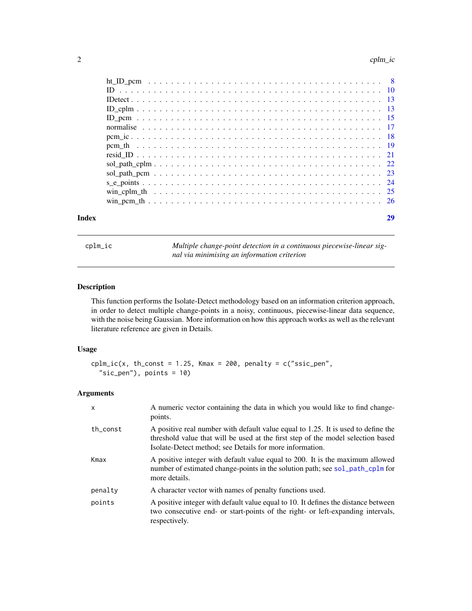<span id="page-1-0"></span>

| Index |  |
|-------|--|
|       |  |
|       |  |
|       |  |
|       |  |
|       |  |
|       |  |
|       |  |
|       |  |
|       |  |
|       |  |
|       |  |
|       |  |
|       |  |
|       |  |

<span id="page-1-1"></span>cplm\_ic *Multiple change-point detection in a continuous piecewise-linear signal via minimising an information criterion*

# Description

This function performs the Isolate-Detect methodology based on an information criterion approach, in order to detect multiple change-points in a noisy, continuous, piecewise-linear data sequence, with the noise being Gaussian. More information on how this approach works as well as the relevant literature reference are given in Details.

# Usage

```
cplm\_ic(x, th\_const = 1.25, Kmax = 200, penalty = c("ssic\_pen","sic_pen"), points = 10)
```
# Arguments

| $\mathsf{x}$ | A numeric vector containing the data in which you would like to find change-<br>points.                                                                                                                                           |
|--------------|-----------------------------------------------------------------------------------------------------------------------------------------------------------------------------------------------------------------------------------|
| th const     | A positive real number with default value equal to 1.25. It is used to define the<br>threshold value that will be used at the first step of the model selection based<br>Isolate-Detect method; see Details for more information. |
| Kmax         | A positive integer with default value equal to 200. It is the maximum allowed<br>number of estimated change-points in the solution path; see sol_path_cplm for<br>more details.                                                   |
| penalty      | A character vector with names of penalty functions used.                                                                                                                                                                          |
| points       | A positive integer with default value equal to 10. It defines the distance between<br>two consecutive end- or start-points of the right- or left-expanding intervals,<br>respectively.                                            |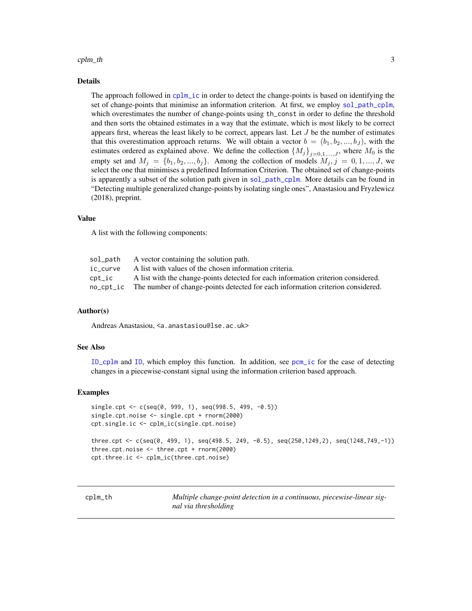#### <span id="page-2-0"></span> $\text{cplm}_\text{th}$  the  $\text{cplm}_\text{th}$  s

# Details

The approach followed in [cplm\\_ic](#page-1-1) in order to detect the change-points is based on identifying the set of change-points that minimise an information criterion. At first, we employ [sol\\_path\\_cplm](#page-21-1), which overestimates the number of change-points using th\_const in order to define the threshold and then sorts the obtained estimates in a way that the estimate, which is most likely to be correct appears first, whereas the least likely to be correct, appears last. Let  $J$  be the number of estimates that this overestimation approach returns. We will obtain a vector  $b = (b_1, b_2, ..., b_J)$ , with the estimates ordered as explained above. We define the collection  ${M_j}_{j=0,1,\ldots,J}$ , where  $M_0$  is the empty set and  $M_j = \{b_1, b_2, ..., b_j\}$ . Among the collection of models  $M_j, j = 0, 1, ..., J$ , we select the one that minimises a predefined Information Criterion. The obtained set of change-points is apparently a subset of the solution path given in [sol\\_path\\_cplm](#page-21-1). More details can be found in "Detecting multiple generalized change-points by isolating single ones", Anastasiou and Fryzlewicz (2018), preprint.

# Value

A list with the following components:

| sol_path | A vector containing the solution path.                                                    |
|----------|-------------------------------------------------------------------------------------------|
| ic curve | A list with values of the chosen information criteria.                                    |
| cpt_ic   | A list with the change-points detected for each information criterion considered.         |
|          | no_cpt_ic The number of change-points detected for each information criterion considered. |
|          |                                                                                           |

# Author(s)

Andreas Anastasiou, <a.anastasiou@lse.ac.uk>

# See Also

[ID\\_cplm](#page-12-1) and [ID](#page-9-1), which employ this function. In addition, see [pcm\\_ic](#page-17-1) for the case of detecting changes in a piecewise-constant signal using the information criterion based approach.

#### Examples

```
single.cpt <- c(seq(0, 999, 1), seq(998.5, 499, -0.5))
single.cpt.noise <- single.cpt + rnorm(2000)
cpt.single.ic <- cplm_ic(single.cpt.noise)
three.cpt <- c(seq(0, 499, 1), seq(498.5, 249, -0.5), seq(250,1249,2), seq(1248,749,-1))
three.cpt.noise <- three.cpt + rnorm(2000)
cpt.three.ic <- cplm_ic(three.cpt.noise)
```
<span id="page-2-1"></span>cplm\_th *Multiple change-point detection in a continuous, piecewise-linear signal via thresholding*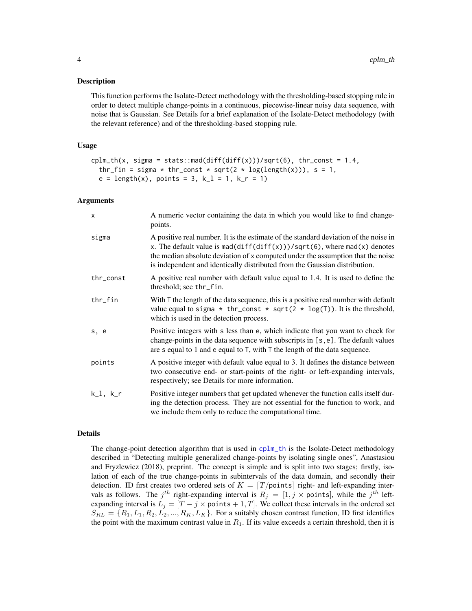# <span id="page-3-0"></span>**Description**

This function performs the Isolate-Detect methodology with the thresholding-based stopping rule in order to detect multiple change-points in a continuous, piecewise-linear noisy data sequence, with noise that is Gaussian. See Details for a brief explanation of the Isolate-Detect methodology (with the relevant reference) and of the thresholding-based stopping rule.

#### Usage

```
cplm_th(x, sigma = stats::mad(diff(diff(x)))/sqrt(6), thr_const = 1.4,
  thr_fin = sigma * thr_const * sqrt(2 * log(length(x))), s = 1,
  e = length(x), points = 3, k<sub>1</sub> = 1, k<sub>r</sub> = 1)
```
#### Arguments

| $\mathsf{x}$ | A numeric vector containing the data in which you would like to find change-<br>points.                                                                                                                                                                                                                                           |
|--------------|-----------------------------------------------------------------------------------------------------------------------------------------------------------------------------------------------------------------------------------------------------------------------------------------------------------------------------------|
| sigma        | A positive real number. It is the estimate of the standard deviation of the noise in<br>x. The default value is mad(diff(diff(x)))/sqrt(6), where mad(x) denotes<br>the median absolute deviation of x computed under the assumption that the noise<br>is independent and identically distributed from the Gaussian distribution. |
| thr_const    | A positive real number with default value equal to 1.4. It is used to define the<br>threshold; see thr_fin.                                                                                                                                                                                                                       |
| $thr_f$ in   | With T the length of the data sequence, this is a positive real number with default<br>value equal to sigma $*$ thr_const $*$ sqrt(2 $*$ log(T)). It is the threshold,<br>which is used in the detection process.                                                                                                                 |
| s, e         | Positive integers with s less than e, which indicate that you want to check for<br>change-points in the data sequence with subscripts in [s, e]. The default values<br>are s equal to 1 and e equal to $T$ , with $T$ the length of the data sequence.                                                                            |
| points       | A positive integer with default value equal to 3. It defines the distance between<br>two consecutive end- or start-points of the right- or left-expanding intervals,<br>respectively; see Details for more information.                                                                                                           |
| $k_l, k_r$   | Positive integer numbers that get updated whenever the function calls itself dur-<br>ing the detection process. They are not essential for the function to work, and<br>we include them only to reduce the computational time.                                                                                                    |

#### Details

The change-point detection algorithm that is used in [cplm\\_th](#page-2-1) is the Isolate-Detect methodology described in "Detecting multiple generalized change-points by isolating single ones", Anastasiou and Fryzlewicz (2018), preprint. The concept is simple and is split into two stages; firstly, isolation of each of the true change-points in subintervals of the data domain, and secondly their detection. ID first creates two ordered sets of  $K = \lfloor T / \text{points} \rfloor$  right- and left-expanding intervals as follows. The  $j^{th}$  right-expanding interval is  $R_j = [1, j \times \text{points}]$ , while the  $j^{th}$  leftexpanding interval is  $L_j = [T - j \times \text{points} + 1, T]$ . We collect these intervals in the ordered set  $S_{RL} = \{R_1, L_1, R_2, L_2, ..., R_K, L_K\}$ . For a suitably chosen contrast function, ID first identifies the point with the maximum contrast value in  $R_1$ . If its value exceeds a certain threshold, then it is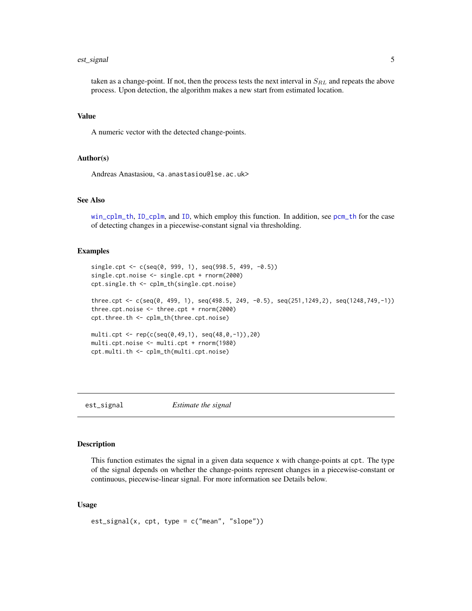#### <span id="page-4-0"></span>est\_signal 5

taken as a change-point. If not, then the process tests the next interval in  $S_{RL}$  and repeats the above process. Upon detection, the algorithm makes a new start from estimated location.

#### Value

A numeric vector with the detected change-points.

# Author(s)

Andreas Anastasiou, <a.anastasiou@lse.ac.uk>

# See Also

[win\\_cplm\\_th](#page-24-1), [ID\\_cplm](#page-12-1), and [ID](#page-9-1), which employ this function. In addition, see [pcm\\_th](#page-18-1) for the case of detecting changes in a piecewise-constant signal via thresholding.

# Examples

```
single.cpt <- c(\text{seq}(0, 999, 1), \text{seq}(998.5, 499, -0.5))single.cpt.noise <- single.cpt + rnorm(2000)
cpt.single.th <- cplm_th(single.cpt.noise)
three.cpt <- c(seq(0, 499, 1), seq(498.5, 249, -0.5), seq(251,1249,2), seq(1248,749,-1))
three.cpt.noise <- three.cpt + rnorm(2000)
cpt.three.th <- cplm_th(three.cpt.noise)
multi.cpt <- rep(c(seq(0,49,1), seq(48,0,-1)),20)
multi.cpt.noise <- multi.cpt + rnorm(1980)
cpt.multi.th <- cplm_th(multi.cpt.noise)
```
est\_signal *Estimate the signal*

# **Description**

This function estimates the signal in a given data sequence x with change-points at cpt. The type of the signal depends on whether the change-points represent changes in a piecewise-constant or continuous, piecewise-linear signal. For more information see Details below.

# Usage

est\_signal(x, cpt, type = c("mean", "slope"))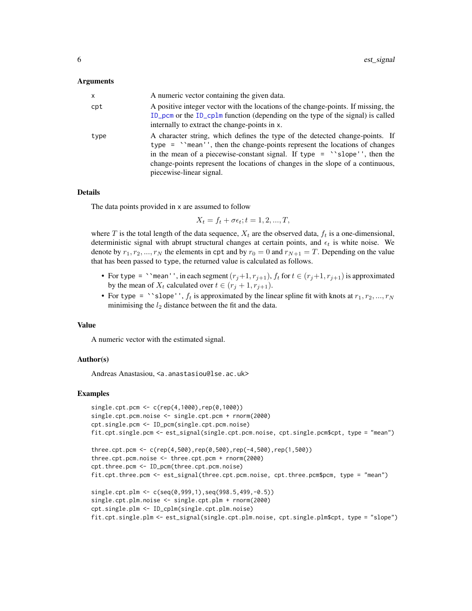#### <span id="page-5-0"></span>Arguments

| X              | A numeric vector containing the given data.                                                                                                                                                                                                                                                                                                                      |
|----------------|------------------------------------------------------------------------------------------------------------------------------------------------------------------------------------------------------------------------------------------------------------------------------------------------------------------------------------------------------------------|
| $\mathsf{cpt}$ | A positive integer vector with the locations of the change-points. If missing, the<br>ID_pcm or the ID_cplm function (depending on the type of the signal) is called<br>internally to extract the change-points in x.                                                                                                                                            |
| type           | A character string, which defines the type of the detected change-points. If<br>type $=$ $\degree$ mean'', then the change-points represent the locations of changes<br>in the mean of a piecewise-constant signal. If type $=$ 'slope'', then the<br>change-points represent the locations of changes in the slope of a continuous,<br>piecewise-linear signal. |

# Details

The data points provided in x are assumed to follow

 $X_t = f_t + \sigma \epsilon_t; t = 1, 2, ..., T,$ 

where T is the total length of the data sequence,  $X_t$  are the observed data,  $f_t$  is a one-dimensional, deterministic signal with abrupt structural changes at certain points, and  $\epsilon_t$  is white noise. We denote by  $r_1, r_2, ..., r_N$  the elements in cpt and by  $r_0 = 0$  and  $r_{N+1} = T$ . Depending on the value that has been passed to type, the returned value is calculated as follows.

- For type = ``mean'', in each segment  $(r_j+1, r_{j+1})$ ,  $f_t$  for  $t \in (r_j+1, r_{j+1})$  is approximated by the mean of  $X_t$  calculated over  $t \in (r_j + 1, r_{j+1}).$
- For type = ``slope'',  $f_t$  is approximated by the linear spline fit with knots at  $r_1, r_2, ..., r_N$ minimising the  $l_2$  distance between the fit and the data.

#### Value

A numeric vector with the estimated signal.

# Author(s)

Andreas Anastasiou, <a.anastasiou@lse.ac.uk>

# Examples

```
single.cpt.pcm <- c(rep(4,1000),rep(0,1000))
single.cpt.pcm.noise <- single.cpt.pcm + rnorm(2000)
cpt.single.pcm <- ID_pcm(single.cpt.pcm.noise)
fit.cpt.single.pcm <- est_signal(single.cpt.pcm.noise, cpt.single.pcm$cpt, type = "mean")
three.cpt.pcm <- c(rep(4,500),rep(0,500),rep(-4,500),rep(1,500))
three.cpt.pcm.noise <- three.cpt.pcm + rnorm(2000)
cpt.three.pcm <- ID_pcm(three.cpt.pcm.noise)
fit.cpt.three.pcm <- est_signal(three.cpt.pcm.noise, cpt.three.pcm$pcm, type = "mean")
single.cpt.plm <- c(seq(0,999,1),seq(998.5,499,-0.5))
single.cpt.plm.noise <- single.cpt.plm + rnorm(2000)
cpt.single.plm <- ID_cplm(single.cpt.plm.noise)
fit.cpt.single.plm <- est_signal(single.cpt.plm.noise, cpt.single.plm$cpt, type = "slope")
```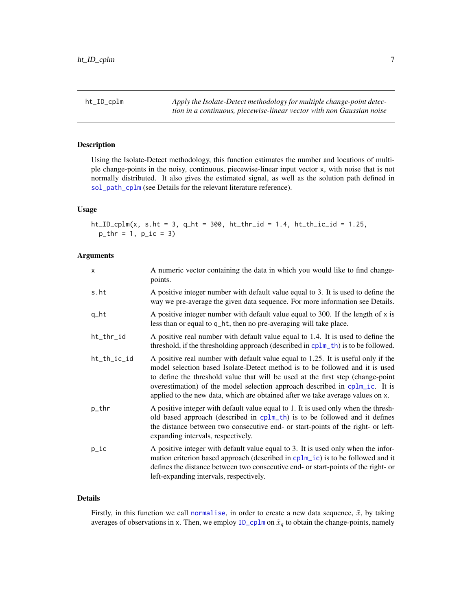<span id="page-6-1"></span><span id="page-6-0"></span>ht\_ID\_cplm *Apply the Isolate-Detect methodology for multiple change-point detection in a continuous, piecewise-linear vector with non Gaussian noise*

# Description

Using the Isolate-Detect methodology, this function estimates the number and locations of multiple change-points in the noisy, continuous, piecewise-linear input vector x, with noise that is not normally distributed. It also gives the estimated signal, as well as the solution path defined in [sol\\_path\\_cplm](#page-21-1) (see Details for the relevant literature reference).

# Usage

ht\_ID\_cplm(x, s.ht = 3, q\_ht = 300, ht\_thr\_id = 1.4, ht\_th\_ic\_id = 1.25,  $p_{thr} = 1$ ,  $p_{lt} = 3$ 

# Arguments

| X           | A numeric vector containing the data in which you would like to find change-<br>points.                                                                                                                                                                                                                                                                                                                               |
|-------------|-----------------------------------------------------------------------------------------------------------------------------------------------------------------------------------------------------------------------------------------------------------------------------------------------------------------------------------------------------------------------------------------------------------------------|
| s.ht        | A positive integer number with default value equal to 3. It is used to define the<br>way we pre-average the given data sequence. For more information see Details.                                                                                                                                                                                                                                                    |
| q_ht        | A positive integer number with default value equal to 300. If the length of $x$ is<br>less than or equal to q_ht, then no pre-averaging will take place.                                                                                                                                                                                                                                                              |
| ht_thr_id   | A positive real number with default value equal to 1.4. It is used to define the<br>threshold, if the thresholding approach (described in cplm_th) is to be followed.                                                                                                                                                                                                                                                 |
| ht_th_ic_id | A positive real number with default value equal to 1.25. It is useful only if the<br>model selection based Isolate-Detect method is to be followed and it is used<br>to define the threshold value that will be used at the first step (change-point<br>overestimation) of the model selection approach described in cplm_ic. It is<br>applied to the new data, which are obtained after we take average values on x. |
| p_thr       | A positive integer with default value equal to 1. It is used only when the thresh-<br>old based approach (described in cplm_th) is to be followed and it defines<br>the distance between two consecutive end- or start-points of the right- or left-<br>expanding intervals, respectively.                                                                                                                            |
| $p\_ic$     | A positive integer with default value equal to 3. It is used only when the infor-<br>mation criterion based approach (described in cplm_ic) is to be followed and it<br>defines the distance between two consecutive end- or start-points of the right- or<br>left-expanding intervals, respectively.                                                                                                                 |

# Details

Firstly, in this function we call [normalise](#page-16-1), in order to create a new data sequence,  $\tilde{x}$ , by taking averages of observations in x. Then, we employ  $ID_cplm$  on  $\tilde{x}_q$  to obtain the change-points, namely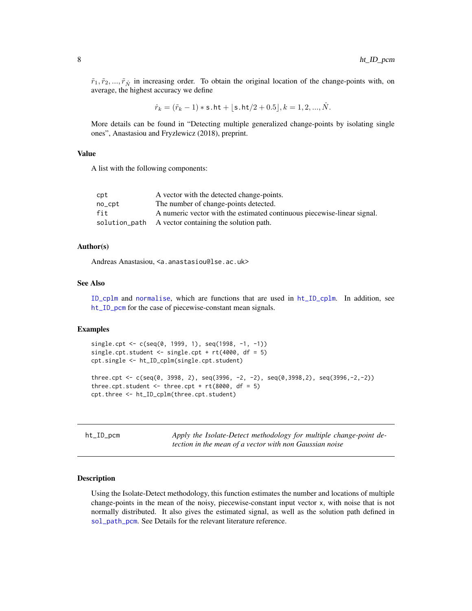<span id="page-7-0"></span> $\tilde{r}_1, \tilde{r}_2, ..., \tilde{r}_{\tilde{N}}$  in increasing order. To obtain the original location of the change-points with, on average, the highest accuracy we define

$$
\hat{r}_k = (\tilde{r}_k - 1) * \mathsf{s}.\mathsf{ht} + \lfloor \mathsf{s}.\mathsf{ht}/2 + 0.5 \rfloor, k = 1, 2, ..., \hat{N}.
$$

More details can be found in "Detecting multiple generalized change-points by isolating single ones", Anastasiou and Fryzlewicz (2018), preprint.

# Value

A list with the following components:

| cpt    | A vector with the detected change-points.                               |
|--------|-------------------------------------------------------------------------|
| no_cpt | The number of change-points detected.                                   |
| fit    | A numeric vector with the estimated continuous piecewise-linear signal. |
|        | solution path A vector containing the solution path.                    |

# Author(s)

Andreas Anastasiou, <a.anastasiou@lse.ac.uk>

# See Also

[ID\\_cplm](#page-12-1) and [normalise](#page-16-1), which are functions that are used in [ht\\_ID\\_cplm](#page-6-1). In addition, see [ht\\_ID\\_pcm](#page-7-1) for the case of piecewise-constant mean signals.

# Examples

```
single.cpt <- c(seq(0, 1999, 1), seq(1998, -1, -1))
single.cpt.student <- single.cpt + rt(4000, df = 5)cpt.single <- ht_ID_cplm(single.cpt.student)
three.cpt <- c(seq(0, 3998, 2), seq(3996, -2, -2), seq(0,3998,2), seq(3996,-2,-2))
three.cpt.student \leq three.cpt + rt(8000, df = 5)
cpt.three <- ht_ID_cplm(three.cpt.student)
```
<span id="page-7-1"></span>ht\_ID\_pcm *Apply the Isolate-Detect methodology for multiple change-point detection in the mean of a vector with non Gaussian noise*

# Description

Using the Isolate-Detect methodology, this function estimates the number and locations of multiple change-points in the mean of the noisy, piecewise-constant input vector x, with noise that is not normally distributed. It also gives the estimated signal, as well as the solution path defined in [sol\\_path\\_pcm](#page-22-1). See Details for the relevant literature reference.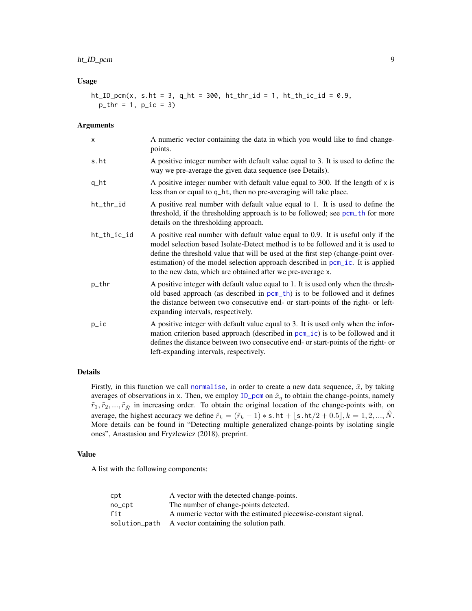# <span id="page-8-0"></span>ht\_ID\_pcm 9

# Usage

 $ht\_ID\_pcm(x, s.ht = 3, q_-ht = 300, ht_-thr\_id = 1, ht_-th\_ic\_id = 0.9,$  $p_{thr} = 1$ ,  $p_{lt} = 3$ 

# Arguments

| X           | A numeric vector containing the data in which you would like to find change-<br>points.                                                                                                                                                                                                                                                                                                                    |
|-------------|------------------------------------------------------------------------------------------------------------------------------------------------------------------------------------------------------------------------------------------------------------------------------------------------------------------------------------------------------------------------------------------------------------|
| s.ht        | A positive integer number with default value equal to 3. It is used to define the<br>way we pre-average the given data sequence (see Details).                                                                                                                                                                                                                                                             |
| q_ht        | A positive integer number with default value equal to 300. If the length of $x$ is<br>less than or equal to q_ht, then no pre-averaging will take place.                                                                                                                                                                                                                                                   |
| ht_thr_id   | A positive real number with default value equal to 1. It is used to define the<br>threshold, if the thresholding approach is to be followed; see pcm_th for more<br>details on the thresholding approach.                                                                                                                                                                                                  |
| ht_th_ic_id | A positive real number with default value equal to 0.9. It is useful only if the<br>model selection based Isolate-Detect method is to be followed and it is used to<br>define the threshold value that will be used at the first step (change-point over-<br>estimation) of the model selection approach described in pcm_ic. It is applied<br>to the new data, which are obtained after we pre-average x. |
| p_thr       | A positive integer with default value equal to 1. It is used only when the thresh-<br>old based approach (as described in pcm_th) is to be followed and it defines<br>the distance between two consecutive end- or start-points of the right- or left-<br>expanding intervals, respectively.                                                                                                               |
| $p\_ic$     | A positive integer with default value equal to 3. It is used only when the infor-<br>mation criterion based approach (described in pcm_ic) is to be followed and it<br>defines the distance between two consecutive end- or start-points of the right- or<br>left-expanding intervals, respectively.                                                                                                       |

# Details

Firstly, in this function we call [normalise](#page-16-1), in order to create a new data sequence,  $\tilde{x}$ , by taking averages of observations in x. Then, we employ  $ID\_pcm$  on  $\tilde{x}_q$  to obtain the change-points, namely  $\tilde{r}_1, \tilde{r}_2, ..., \tilde{r}_{\hat{N}}$  in increasing order. To obtain the original location of the change-points with, on average, the highest accuracy we define  $\hat{r}_k = (\tilde{r}_k - 1) * s.$  ht  $+ [s.$  ht $/2 + 0.5]$ ,  $k = 1, 2, ..., \hat{N}$ . More details can be found in "Detecting multiple generalized change-points by isolating single ones", Anastasiou and Fryzlewicz (2018), preprint.

# Value

A list with the following components:

| cpt    | A vector with the detected change-points.                      |
|--------|----------------------------------------------------------------|
| no_cpt | The number of change-points detected.                          |
| fit    | A numeric vector with the estimated piecewise-constant signal. |
|        | solution_path A vector containing the solution path.           |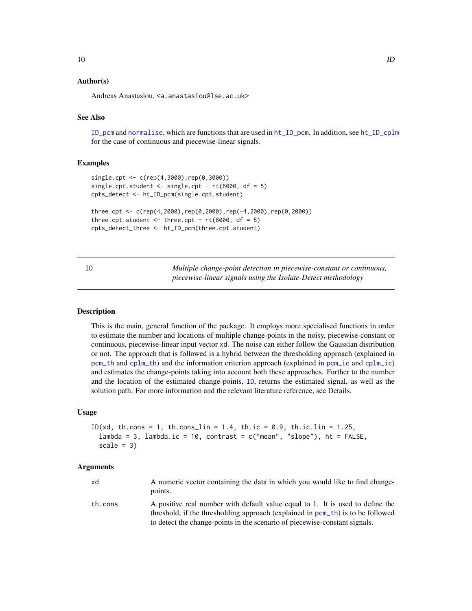# <span id="page-9-0"></span>Author(s)

Andreas Anastasiou, <a.anastasiou@lse.ac.uk>

# See Also

[ID\\_pcm](#page-14-1) and [normalise](#page-16-1), which are functions that are used in [ht\\_ID\\_pcm](#page-7-1). In addition, see [ht\\_ID\\_cplm](#page-6-1) for the case of continuous and piecewise-linear signals.

## Examples

```
single.cpt <- c(rep(4,3000),rep(0,3000))
single.cpt.student \le single.cpt + rt(6000, df = 5)cpts_detect <- ht_ID_pcm(single.cpt.student)
three.cpt <- c(rep(4,2000),rep(0,2000),rep(-4,2000),rep(0,2000))
three.cpt.student \leq three.cpt + rt(8000, df = 5)
cpts_detect_three <- ht_ID_pcm(three.cpt.student)
```
<span id="page-9-1"></span>ID *Multiple change-point detection in piecewise-constant or continuous, piecewise-linear signals using the Isolate-Detect methodology*

# Description

This is the main, general function of the package. It employs more specialised functions in order to estimate the number and locations of multiple change-points in the noisy, piecewise-constant or continuous, piecewise-linear input vector xd. The noise can either follow the Gaussian distribution or not. The approach that is followed is a hybrid between the thresholding approach (explained in [pcm\\_th](#page-18-1) and [cplm\\_th](#page-2-1)) and the information criterion approach (explained in [pcm\\_ic](#page-17-1) and [cplm\\_ic](#page-1-1)) and estimates the change-points taking into account both these approaches. Further to the number and the location of the estimated change-points, [ID](#page-9-1), returns the estimated signal, as well as the solution path. For more information and the relevant literature reference, see Details.

#### Usage

```
ID(xd, th.cons = 1, th.cons_lin = 1.4, th.ic = 0.9, th.ic.lin = 1.25,
 lambda = 3, lambda.ic = 10, contrast = c("mean", "slope"), ht = FALSE,scale = 3)
```
#### Arguments

| xd      | A numeric vector containing the data in which you would like to find change-<br>points.                                                                           |
|---------|-------------------------------------------------------------------------------------------------------------------------------------------------------------------|
| th.cons | A positive real number with default value equal to 1. It is used to define the<br>threshold, if the thresholding approach (explained in pcm_th) is to be followed |
|         | to detect the change-points in the scenario of piecewise-constant signals.                                                                                        |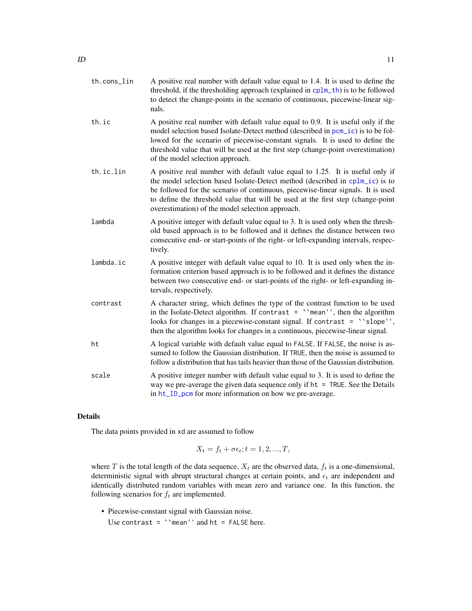<span id="page-10-0"></span>

| th.cons lin | A positive real number with default value equal to 1.4. It is used to define the            |
|-------------|---------------------------------------------------------------------------------------------|
|             | threshold, if the thresholding approach (explained in $\text{cplm\_th}$ ) is to be followed |
|             | to detect the change-points in the scenario of continuous, piecewise-linear sig-            |
|             | nals.                                                                                       |

- th.ic A positive real number with default value equal to 0.9. It is useful only if the model selection based Isolate-Detect method (described in [pcm\\_ic](#page-17-1)) is to be followed for the scenario of piecewise-constant signals. It is used to define the threshold value that will be used at the first step (change-point overestimation) of the model selection approach.
- th.ic.lin A positive real number with default value equal to 1.25. It is useful only if the model selection based Isolate-Detect method (described in [cplm\\_ic](#page-1-1)) is to be followed for the scenario of continuous, piecewise-linear signals. It is used to define the threshold value that will be used at the first step (change-point overestimation) of the model selection approach.
- lambda A positive integer with default value equal to 3. It is used only when the threshold based approach is to be followed and it defines the distance between two consecutive end- or start-points of the right- or left-expanding intervals, respectively.
- lambda.ic A positive integer with default value equal to 10. It is used only when the information criterion based approach is to be followed and it defines the distance between two consecutive end- or start-points of the right- or left-expanding intervals, respectively.
- contrast A character string, which defines the type of the contrast function to be used in the Isolate-Detect algorithm. If contrast  $=$  ''mean'', then the algorithm looks for changes in a piecewise-constant signal. If contrast = 'slope'', then the algorithm looks for changes in a continuous, piecewise-linear signal.
- ht A logical variable with default value equal to FALSE. If FALSE, the noise is assumed to follow the Gaussian distribution. If TRUE, then the noise is assumed to follow a distribution that has tails heavier than those of the Gaussian distribution.
- scale A positive integer number with default value equal to 3. It is used to define the way we pre-average the given data sequence only if  $ht = TRUE$ . See the Details in [ht\\_ID\\_pcm](#page-7-1) for more information on how we pre-average.

# Details

The data points provided in xd are assumed to follow

$$
X_t = f_t + \sigma \epsilon_t; t = 1, 2, ..., T,
$$

where T is the total length of the data sequence,  $X_t$  are the observed data,  $f_t$  is a one-dimensional, deterministic signal with abrupt structural changes at certain points, and  $\epsilon_t$  are independent and identically distributed random variables with mean zero and variance one. In this function, the following scenarios for  $f_t$  are implemented.

• Piecewise-constant signal with Gaussian noise.

Use contrast =  $\degree$ mean'' and ht = FALSE here.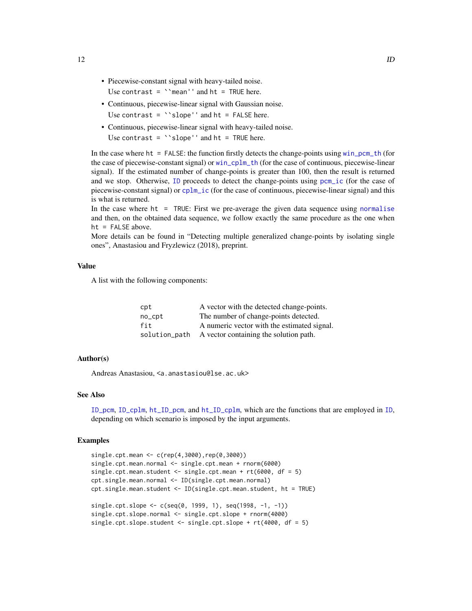- <span id="page-11-0"></span>• Piecewise-constant signal with heavy-tailed noise. Use contrast =  $\degree$ mean'' and ht = TRUE here.
- Continuous, piecewise-linear signal with Gaussian noise. Use contrast =  $\iota$ slope'' and ht = FALSE here.
- Continuous, piecewise-linear signal with heavy-tailed noise. Use contrast =  $\degree$ slope'' and ht = TRUE here.

In the case where ht = FALSE: the function firstly detects the change-points using [win\\_pcm\\_th](#page-25-1) (for the case of piecewise-constant signal) or [win\\_cplm\\_th](#page-24-1) (for the case of continuous, piecewise-linear signal). If the estimated number of change-points is greater than 100, then the result is returned and we stop. Otherwise, [ID](#page-9-1) proceeds to detect the change-points using [pcm\\_ic](#page-17-1) (for the case of piecewise-constant signal) or [cplm\\_ic](#page-1-1) (for the case of continuous, piecewise-linear signal) and this is what is returned.

In the case where  $ht = TRUE$ : First we pre-average the given data sequence using [normalise](#page-16-1) and then, on the obtained data sequence, we follow exactly the same procedure as the one when ht = FALSE above.

More details can be found in "Detecting multiple generalized change-points by isolating single ones", Anastasiou and Fryzlewicz (2018), preprint.

# Value

A list with the following components:

| $\mathsf{cpt}$ | A vector with the detected change-points.   |
|----------------|---------------------------------------------|
| no_cpt         | The number of change-points detected.       |
| fit            | A numeric vector with the estimated signal. |
| solution_path  | A vector containing the solution path.      |

# Author(s)

Andreas Anastasiou, <a.anastasiou@lse.ac.uk>

# See Also

[ID\\_pcm](#page-14-1), [ID\\_cplm](#page-12-1), [ht\\_ID\\_pcm](#page-7-1), and [ht\\_ID\\_cplm](#page-6-1), which are the functions that are employed in [ID](#page-9-1), depending on which scenario is imposed by the input arguments.

#### Examples

```
single.cpt.mean <- c(rep(4,3000),rep(0,3000))
single.cpt.mean.normal <- single.cpt.mean + rnorm(6000)
single.cpt.mean.student <- single.cpt.mean + rt(6000, df = 5)
cpt.single.mean.normal <- ID(single.cpt.mean.normal)
cpt.single.mean.student <- ID(single.cpt.mean.student, ht = TRUE)
single.cpt.slope <- c(seq(0, 1999, 1), seq(1998, -1, -1))
single.cpt.slope.normal <- single.cpt.slope + rnorm(4000)
single.cpt.slope.student <- single.cpt.slope + rt(4000, df = 5)
```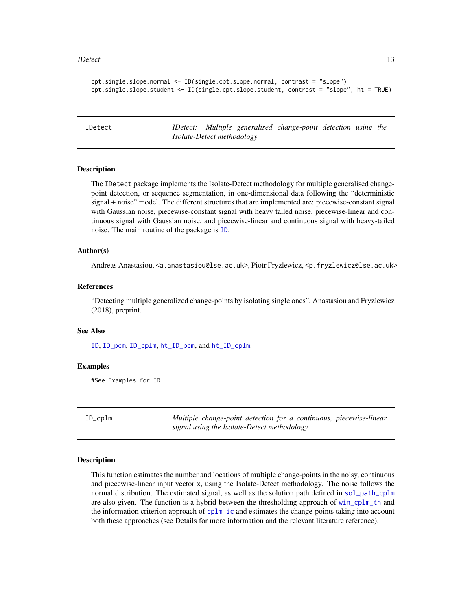#### <span id="page-12-0"></span>IDetect 13

```
cpt.single.slope.normal <- ID(single.cpt.slope.normal, contrast = "slope")
cpt.single.slope.student <- ID(single.cpt.slope.student, contrast = "slope", ht = TRUE)
```
IDetect *IDetect: Multiple generalised change-point detection using the Isolate-Detect methodology*

# Description

The IDetect package implements the Isolate-Detect methodology for multiple generalised changepoint detection, or sequence segmentation, in one-dimensional data following the "deterministic signal + noise" model. The different structures that are implemented are: piecewise-constant signal with Gaussian noise, piecewise-constant signal with heavy tailed noise, piecewise-linear and continuous signal with Gaussian noise, and piecewise-linear and continuous signal with heavy-tailed noise. The main routine of the package is [ID](#page-9-1).

# Author(s)

Andreas Anastasiou, <a.anastasiou@lse.ac.uk>, Piotr Fryzlewicz, <p.fryzlewicz@lse.ac.uk>

# References

"Detecting multiple generalized change-points by isolating single ones", Anastasiou and Fryzlewicz (2018), preprint.

# See Also

[ID](#page-9-1), [ID\\_pcm](#page-14-1), [ID\\_cplm](#page-12-1), [ht\\_ID\\_pcm](#page-7-1), and [ht\\_ID\\_cplm](#page-6-1).

# Examples

#See Examples for ID.

<span id="page-12-1"></span>ID\_cplm *Multiple change-point detection for a continuous, piecewise-linear signal using the Isolate-Detect methodology*

#### **Description**

This function estimates the number and locations of multiple change-points in the noisy, continuous and piecewise-linear input vector x, using the Isolate-Detect methodology. The noise follows the normal distribution. The estimated signal, as well as the solution path defined in [sol\\_path\\_cplm](#page-21-1) are also given. The function is a hybrid between the thresholding approach of  $win\_cplm_th$  and the information criterion approach of  $cplm$  ic and estimates the change-points taking into account both these approaches (see Details for more information and the relevant literature reference).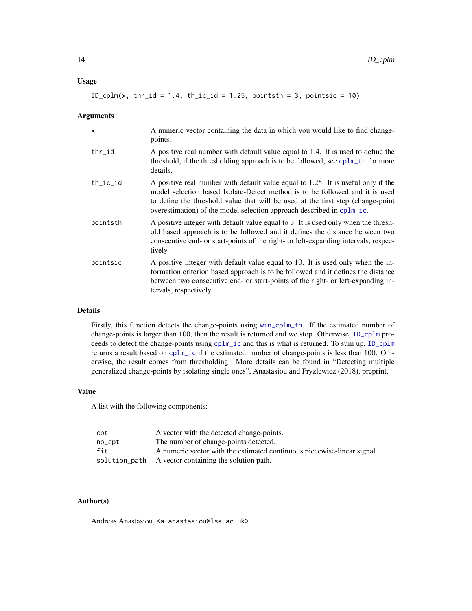# <span id="page-13-0"></span>Usage

 $ID_cplm(x, thr_id = 1.4, th\_ic_id = 1.25, pointsth = 3, pointsic = 10)$ 

#### Arguments

| X            | A numeric vector containing the data in which you would like to find change-<br>points.                                                                                                                                                                                                                                       |
|--------------|-------------------------------------------------------------------------------------------------------------------------------------------------------------------------------------------------------------------------------------------------------------------------------------------------------------------------------|
| thr_id       | A positive real number with default value equal to 1.4. It is used to define the<br>threshold, if the thresholding approach is to be followed; see cplm_th for more<br>details.                                                                                                                                               |
| $th\_ic\_id$ | A positive real number with default value equal to 1.25. It is useful only if the<br>model selection based Isolate-Detect method is to be followed and it is used<br>to define the threshold value that will be used at the first step (change-point<br>overestimation) of the model selection approach described in cplm_ic. |
| pointsth     | A positive integer with default value equal to 3. It is used only when the thresh-<br>old based approach is to be followed and it defines the distance between two<br>consecutive end- or start-points of the right- or left-expanding intervals, respec-<br>tively.                                                          |
| pointsic     | A positive integer with default value equal to 10. It is used only when the in-<br>formation criterion based approach is to be followed and it defines the distance<br>between two consecutive end- or start-points of the right- or left-expanding in-<br>tervals, respectively.                                             |

# Details

Firstly, this function detects the change-points using [win\\_cplm\\_th](#page-24-1). If the estimated number of change-points is larger than 100, then the result is returned and we stop. Otherwise, [ID\\_cplm](#page-12-1) proceeds to detect the change-points using [cplm\\_ic](#page-1-1) and this is what is returned. To sum up, [ID\\_cplm](#page-12-1) returns a result based on [cplm\\_ic](#page-1-1) if the estimated number of change-points is less than 100. Otherwise, the result comes from thresholding. More details can be found in "Detecting multiple generalized change-points by isolating single ones", Anastasiou and Fryzlewicz (2018), preprint.

# Value

A list with the following components:

| cpt    | A vector with the detected change-points.                               |
|--------|-------------------------------------------------------------------------|
| no_cpt | The number of change-points detected.                                   |
| fit    | A numeric vector with the estimated continuous piecewise-linear signal. |
|        | solution_path A vector containing the solution path.                    |

# Author(s)

Andreas Anastasiou, <a.anastasiou@lse.ac.uk>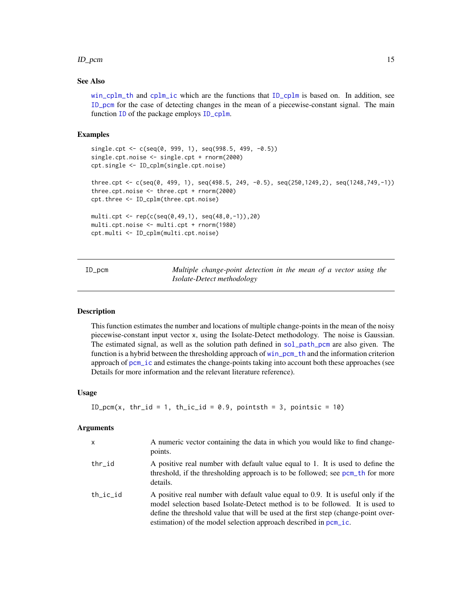#### <span id="page-14-0"></span>ID\_pcm 15

# See Also

[win\\_cplm\\_th](#page-24-1) and [cplm\\_ic](#page-1-1) which are the functions that [ID\\_cplm](#page-12-1) is based on. In addition, see [ID\\_pcm](#page-14-1) for the case of detecting changes in the mean of a piecewise-constant signal. The main function [ID](#page-9-1) of the package employs [ID\\_cplm](#page-12-1).

# Examples

```
single.cpt <- c(seq(0, 999, 1), seq(998.5, 499, -0.5))
single.cpt.noise <- single.cpt + rnorm(2000)
cpt.single <- ID_cplm(single.cpt.noise)
three.cpt <- c(seq(0, 499, 1), seq(498.5, 249, -0.5), seq(250,1249,2), seq(1248,749,-1))
three.cpt.noise <- three.cpt + rnorm(2000)
cpt.three <- ID_cplm(three.cpt.noise)
multi.cpt <- rep(c(seq(0,49,1), seq(48,0,-1)),20)
multi.cpt.noise <- multi.cpt + rnorm(1980)
cpt.multi <- ID_cplm(multi.cpt.noise)
```
<span id="page-14-1"></span>

| $ID\_pcm$ | Multiple change-point detection in the mean of a vector using the |  |  |  |  |
|-----------|-------------------------------------------------------------------|--|--|--|--|
|           | <i>Isolate-Detect methodology</i>                                 |  |  |  |  |

# Description

This function estimates the number and locations of multiple change-points in the mean of the noisy piecewise-constant input vector x, using the Isolate-Detect methodology. The noise is Gaussian. The estimated signal, as well as the solution path defined in [sol\\_path\\_pcm](#page-22-1) are also given. The function is a hybrid between the thresholding approach of [win\\_pcm\\_th](#page-25-1) and the information criterion approach of [pcm\\_ic](#page-17-1) and estimates the change-points taking into account both these approaches (see Details for more information and the relevant literature reference).

# Usage

```
ID_pcm(x, thr_id = 1, th_ic_id = 0.9, pointsth = 3, pointsic = 10)
```
# Arguments

| $\mathsf{x}$ | A numeric vector containing the data in which you would like to find change-<br>points.                                                                                                                                                                                                                                    |
|--------------|----------------------------------------------------------------------------------------------------------------------------------------------------------------------------------------------------------------------------------------------------------------------------------------------------------------------------|
| thr_id       | A positive real number with default value equal to 1. It is used to define the<br>threshold, if the thresholding approach is to be followed; see pcm_th for more<br>details.                                                                                                                                               |
| $th\_ic\_id$ | A positive real number with default value equal to 0.9. It is useful only if the<br>model selection based Isolate-Detect method is to be followed. It is used to<br>define the threshold value that will be used at the first step (change-point over-<br>estimation) of the model selection approach described in pcm_ic. |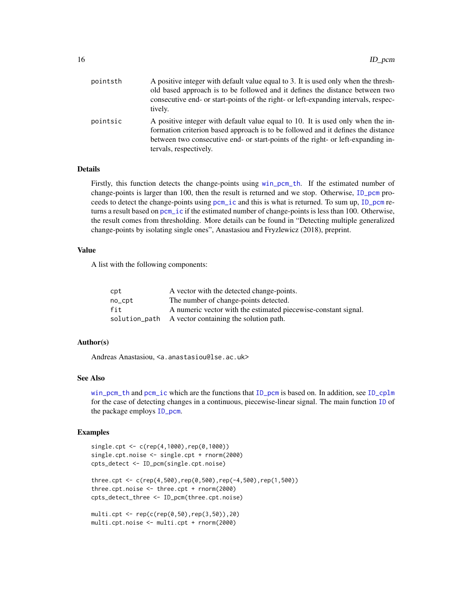<span id="page-15-0"></span>

| pointsth | A positive integer with default value equal to 3. It is used only when the thresh-<br>old based approach is to be followed and it defines the distance between two<br>consecutive end- or start-points of the right- or left-expanding intervals, respec-<br>tively.              |
|----------|-----------------------------------------------------------------------------------------------------------------------------------------------------------------------------------------------------------------------------------------------------------------------------------|
| pointsic | A positive integer with default value equal to 10. It is used only when the in-<br>formation criterion based approach is to be followed and it defines the distance<br>between two consecutive end- or start-points of the right- or left-expanding in-<br>tervals, respectively. |

# Details

Firstly, this function detects the change-points using [win\\_pcm\\_th](#page-25-1). If the estimated number of change-points is larger than 100, then the result is returned and we stop. Otherwise, [ID\\_pcm](#page-14-1) proceeds to detect the change-points using [pcm\\_ic](#page-17-1) and this is what is returned. To sum up, [ID\\_pcm](#page-14-1) returns a result based on [pcm\\_ic](#page-17-1) if the estimated number of change-points is less than 100. Otherwise, the result comes from thresholding. More details can be found in "Detecting multiple generalized change-points by isolating single ones", Anastasiou and Fryzlewicz (2018), preprint.

# Value

A list with the following components:

| cpt    | A vector with the detected change-points.                      |
|--------|----------------------------------------------------------------|
| no_cpt | The number of change-points detected.                          |
| fit    | A numeric vector with the estimated piecewise-constant signal. |
|        | solution_path A vector containing the solution path.           |

# Author(s)

Andreas Anastasiou, <a.anastasiou@lse.ac.uk>

# See Also

[win\\_pcm\\_th](#page-25-1) and [pcm\\_ic](#page-17-1) which are the functions that [ID\\_pcm](#page-14-1) is based on. In addition, see [ID\\_cplm](#page-12-1) for the case of detecting changes in a continuous, piecewise-linear signal. The main function [ID](#page-9-1) of the package employs [ID\\_pcm](#page-14-1).

# Examples

```
single.cpt <- c(rep(4,1000),rep(0,1000))
single.cpt.noise <- single.cpt + rnorm(2000)
cpts_detect <- ID_pcm(single.cpt.noise)
```

```
three.cpt <- c(rep(4,500),rep(0,500),rep(-4,500),rep(1,500))
three.cpt.noise <- three.cpt + rnorm(2000)
cpts_detect_three <- ID_pcm(three.cpt.noise)
```

```
multi.cpt <- rep(c(rep(0,50),rep(3,50)),20)
multi.cpt.noise <- multi.cpt + rnorm(2000)
```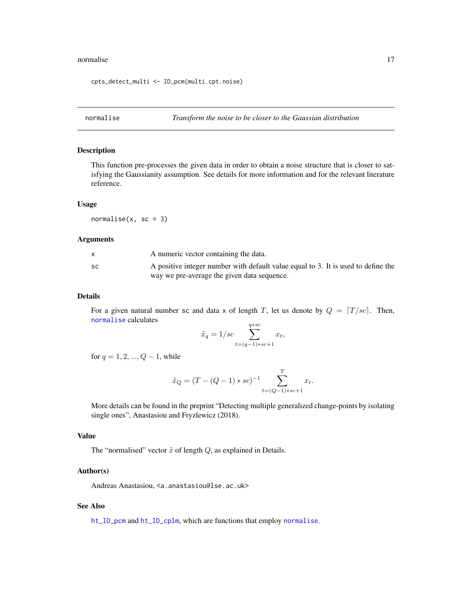#### <span id="page-16-0"></span>normalise the contract of the contract of the contract of the contract of the contract of the contract of the contract of the contract of the contract of the contract of the contract of the contract of the contract of the

cpts\_detect\_multi <- ID\_pcm(multi.cpt.noise)

<span id="page-16-1"></span>normalise *Transform the noise to be closer to the Gaussian distribution*

# Description

This function pre-processes the given data in order to obtain a noise structure that is closer to satisfying the Gaussianity assumption. See details for more information and for the relevant literature reference.

# Usage

normalise $(x, sc = 3)$ 

#### Arguments

|           | A numeric vector containing the data.                                             |
|-----------|-----------------------------------------------------------------------------------|
| <b>SC</b> | A positive integer number with default value equal to 3. It is used to define the |
|           | way we pre-average the given data sequence.                                       |

# Details

For a given natural number sc and data x of length T, let us denote by  $Q = [T / sc]$ . Then, [normalise](#page-16-1) calculates

$$
\tilde{x}_q = 1/sec \sum_{t=(q-1)*sc+1}^{q*sc} x_t,
$$

for  $q = 1, 2, ..., Q - 1$ , while

$$
\tilde{x}_Q = (T - (Q - 1) * sc)^{-1} \sum_{t = (Q - 1) * sc + 1}^{T} x_t.
$$

More details can be found in the preprint "Detecting multiple generalized change-points by isolating single ones", Anastasiou and Fryzlewicz (2018).

# Value

The "normalised" vector  $\tilde{x}$  of length  $Q$ , as explained in Details.

# Author(s)

Andreas Anastasiou, <a.anastasiou@lse.ac.uk>

# See Also

[ht\\_ID\\_pcm](#page-7-1) and [ht\\_ID\\_cplm](#page-6-1), which are functions that employ [normalise](#page-16-1).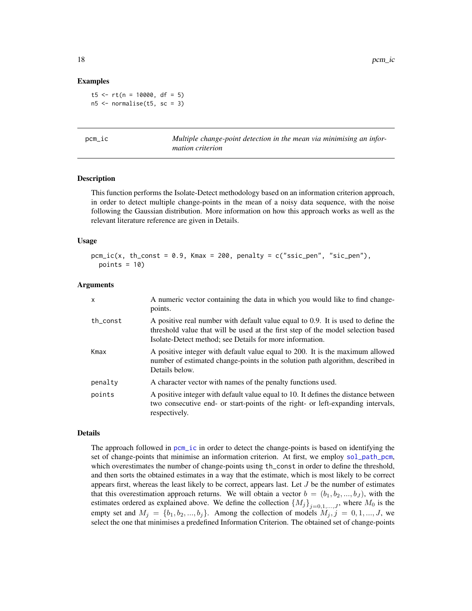### Examples

t5 <-  $rt(n = 10000, df = 5)$  $n5 < -$  normalise(t5, sc = 3)

<span id="page-17-1"></span>pcm\_ic *Multiple change-point detection in the mean via minimising an information criterion*

# Description

This function performs the Isolate-Detect methodology based on an information criterion approach, in order to detect multiple change-points in the mean of a noisy data sequence, with the noise following the Gaussian distribution. More information on how this approach works as well as the relevant literature reference are given in Details.

# Usage

```
pcm\_ic(x, th\_const = 0.9, Kmax = 200, penalty = c("ssic\_pen", "sic\_pen"),points = 10)
```
# Arguments

| $\mathsf{x}$ | A numeric vector containing the data in which you would like to find change-<br>points.                                                                                                                                          |
|--------------|----------------------------------------------------------------------------------------------------------------------------------------------------------------------------------------------------------------------------------|
| th_const     | A positive real number with default value equal to 0.9. It is used to define the<br>threshold value that will be used at the first step of the model selection based<br>Isolate-Detect method; see Details for more information. |
| Kmax         | A positive integer with default value equal to 200. It is the maximum allowed<br>number of estimated change-points in the solution path algorithm, described in<br>Details below.                                                |
| penalty      | A character vector with names of the penalty functions used.                                                                                                                                                                     |
| points       | A positive integer with default value equal to 10. It defines the distance between<br>two consecutive end- or start-points of the right- or left-expanding intervals,<br>respectively.                                           |

#### Details

The approach followed in [pcm\\_ic](#page-17-1) in order to detect the change-points is based on identifying the set of change-points that minimise an information criterion. At first, we employ [sol\\_path\\_pcm](#page-22-1), which overestimates the number of change-points using th\_const in order to define the threshold, and then sorts the obtained estimates in a way that the estimate, which is most likely to be correct appears first, whereas the least likely to be correct, appears last. Let  $J$  be the number of estimates that this overestimation approach returns. We will obtain a vector  $b = (b_1, b_2, ..., b_J)$ , with the estimates ordered as explained above. We define the collection  ${M_j}_{j=0,1,\dots,J}$ , where  $M_0$  is the empty set and  $M_j = \{b_1, b_2, ..., b_j\}$ . Among the collection of models  $M_j, j = 0, 1, ..., J$ , we select the one that minimises a predefined Information Criterion. The obtained set of change-points

<span id="page-17-0"></span>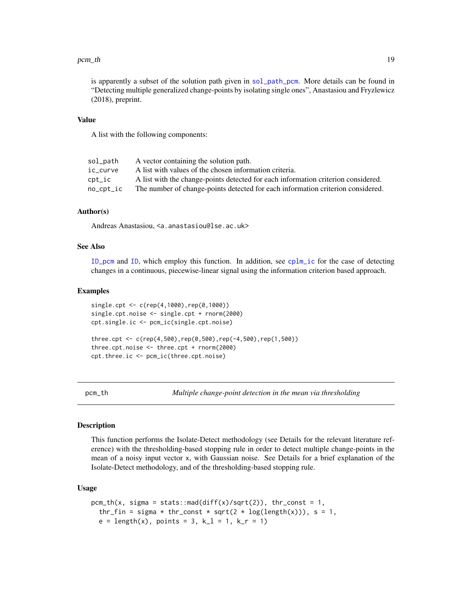#### <span id="page-18-0"></span> $pcm\_th$  19

is apparently a subset of the solution path given in [sol\\_path\\_pcm](#page-22-1). More details can be found in "Detecting multiple generalized change-points by isolating single ones", Anastasiou and Fryzlewicz (2018), preprint.

# Value

A list with the following components:

| sol_path           | A vector containing the solution path.                                            |
|--------------------|-----------------------------------------------------------------------------------|
| ic curve           | A list with values of the chosen information criteria.                            |
| $\textsf{cpt\_ic}$ | A list with the change-points detected for each information criterion considered. |
| no_cpt_ic          | The number of change-points detected for each information criterion considered.   |

# Author(s)

Andreas Anastasiou, <a.anastasiou@lse.ac.uk>

cpt.three.ic <- pcm\_ic(three.cpt.noise)

# See Also

[ID\\_pcm](#page-14-1) and [ID](#page-9-1), which employ this function. In addition, see [cplm\\_ic](#page-1-1) for the case of detecting changes in a continuous, piecewise-linear signal using the information criterion based approach.

# Examples

```
single.cpt <- c(rep(4,1000),rep(0,1000))
single.cpt.noise <- single.cpt + rnorm(2000)
cpt.single.ic <- pcm_ic(single.cpt.noise)
three.cpt <- c(rep(4,500),rep(0,500),rep(-4,500),rep(1,500))
three.cpt.noise <- three.cpt + rnorm(2000)
```
pcm\_th *Multiple change-point detection in the mean via thresholding*

## Description

This function performs the Isolate-Detect methodology (see Details for the relevant literature reference) with the thresholding-based stopping rule in order to detect multiple change-points in the mean of a noisy input vector x, with Gaussian noise. See Details for a brief explanation of the Isolate-Detect methodology, and of the thresholding-based stopping rule.

# Usage

```
pcm_th(x, sigma = stats::mad(diff(x)/sqrt(2)), thr_const = 1,
  thr_fin = sigma * thr_const * sqrt(2 * log(length(x))), s = 1,
  e = length(x), points = 3, k<sub>1</sub> = 1, k<sub>r</sub> = 1)
```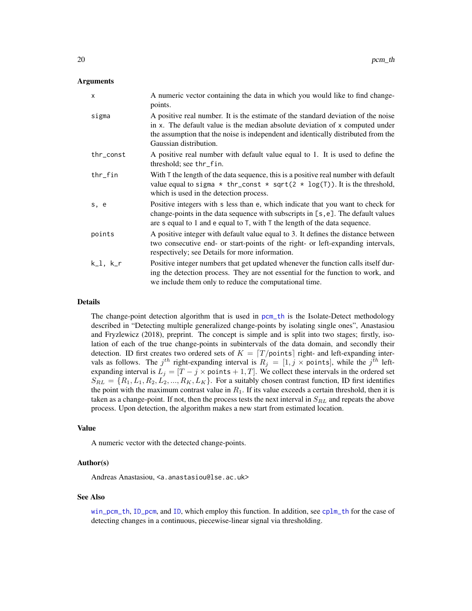# <span id="page-19-0"></span>Arguments

| $\mathsf{x}$ | A numeric vector containing the data in which you would like to find change-<br>points.                                                                                                                                                                                          |
|--------------|----------------------------------------------------------------------------------------------------------------------------------------------------------------------------------------------------------------------------------------------------------------------------------|
| sigma        | A positive real number. It is the estimate of the standard deviation of the noise<br>in x. The default value is the median absolute deviation of x computed under<br>the assumption that the noise is independent and identically distributed from the<br>Gaussian distribution. |
| thr_const    | A positive real number with default value equal to 1. It is used to define the<br>threshold; see thr_fin.                                                                                                                                                                        |
| $thr_f$ in   | With T the length of the data sequence, this is a positive real number with default<br>value equal to sigma $*$ thr_const $*$ sqrt(2 $*$ log(T)). It is the threshold,<br>which is used in the detection process.                                                                |
| s, e         | Positive integers with s less than e, which indicate that you want to check for<br>change-points in the data sequence with subscripts in [s, e]. The default values<br>are s equal to 1 and e equal to $T$ , with $T$ the length of the data sequence.                           |
| points       | A positive integer with default value equal to 3. It defines the distance between<br>two consecutive end- or start-points of the right- or left-expanding intervals,<br>respectively; see Details for more information.                                                          |
| $k_l, k_r$   | Positive integer numbers that get updated whenever the function calls itself dur-<br>ing the detection process. They are not essential for the function to work, and<br>we include them only to reduce the computational time.                                                   |

# Details

The change-point detection algorithm that is used in [pcm\\_th](#page-18-1) is the Isolate-Detect methodology described in "Detecting multiple generalized change-points by isolating single ones", Anastasiou and Fryzlewicz (2018), preprint. The concept is simple and is split into two stages; firstly, isolation of each of the true change-points in subintervals of the data domain, and secondly their detection. ID first creates two ordered sets of  $K = \lfloor T / \text{points} \rfloor$  right- and left-expanding intervals as follows. The  $j<sup>th</sup>$  right-expanding interval is  $R_j = [1, j \times \text{points}]$ , while the  $j<sup>th</sup>$  leftexpanding interval is  $L_j = [T - j \times \text{points} + 1, T]$ . We collect these intervals in the ordered set  $S_{RL} = \{R_1, L_1, R_2, L_2, ..., R_K, L_K\}$ . For a suitably chosen contrast function, ID first identifies the point with the maximum contrast value in  $R_1$ . If its value exceeds a certain threshold, then it is taken as a change-point. If not, then the process tests the next interval in  $S_{RL}$  and repeats the above process. Upon detection, the algorithm makes a new start from estimated location.

# Value

A numeric vector with the detected change-points.

# Author(s)

Andreas Anastasiou, <a.anastasiou@lse.ac.uk>

# See Also

[win\\_pcm\\_th](#page-25-1), [ID\\_pcm](#page-14-1), and [ID](#page-9-1), which employ this function. In addition, see [cplm\\_th](#page-2-1) for the case of detecting changes in a continuous, piecewise-linear signal via thresholding.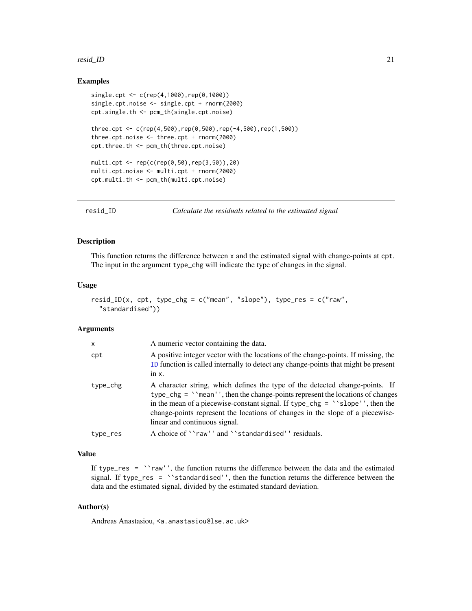#### <span id="page-20-0"></span>resid\_ID 21

# Examples

```
single.cpt <- c(rep(4,1000),rep(0,1000))
single.cpt.noise <- single.cpt + rnorm(2000)
cpt.single.th <- pcm_th(single.cpt.noise)
three.cpt <- c(rep(4,500),rep(0,500),rep(-4,500),rep(1,500))three.cpt.noise <- three.cpt + rnorm(2000)
cpt.three.th <- pcm_th(three.cpt.noise)
multi.cpt <- rep(c(rep(0,50),rep(3,50)),20)
multi.cpt.noise <- multi.cpt + rnorm(2000)
cpt.multi.th <- pcm_th(multi.cpt.noise)
```
resid\_ID *Calculate the residuals related to the estimated signal*

# Description

This function returns the difference between x and the estimated signal with change-points at cpt. The input in the argument type\_chg will indicate the type of changes in the signal.

# Usage

```
resid_ID(x, cpt, type_chg = c("mean", "slope"), type_res = c("raw",
  "standardised"))
```
#### Arguments

| $\mathsf{x}$ | A numeric vector containing the data.                                                                                                                                                                                                                                                                                                                                        |
|--------------|------------------------------------------------------------------------------------------------------------------------------------------------------------------------------------------------------------------------------------------------------------------------------------------------------------------------------------------------------------------------------|
| cpt          | A positive integer vector with the locations of the change-points. If missing, the<br>ID function is called internally to detect any change-points that might be present<br>$in x$ .                                                                                                                                                                                         |
| type_chg     | A character string, which defines the type of the detected change-points. If<br>$type_c$ hg = ''mean'', then the change-points represent the locations of changes<br>in the mean of a piecewise-constant signal. If type_chg = $\degree$ slope'', then the<br>change-points represent the locations of changes in the slope of a piecewise-<br>linear and continuous signal. |
| type_res     | A choice of ``raw'' and ``standardised'' residuals.                                                                                                                                                                                                                                                                                                                          |

# Value

If type\_res = ``raw'', the function returns the difference between the data and the estimated signal. If type\_res = ``standardised'', then the function returns the difference between the data and the estimated signal, divided by the estimated standard deviation.

# Author(s)

Andreas Anastasiou, <a.anastasiou@lse.ac.uk>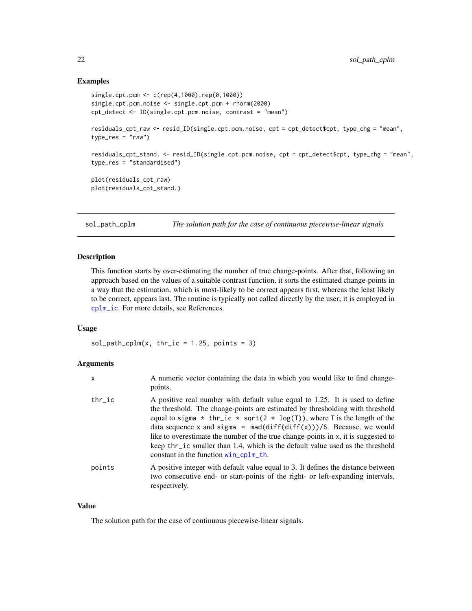# <span id="page-21-0"></span>Examples

```
single.cpt.pcm <- c(rep(4,1000),rep(0,1000))
single.cpt.pcm.noise <- single.cpt.pcm + rnorm(2000)
cpt_detect <- ID(single.cpt.pcm.noise, contrast = "mean")
residuals_cpt_raw <- resid_ID(single.cpt.pcm.noise, cpt = cpt_detect$cpt, type_chg = "mean",
type_res = "raw")
residuals_cpt_stand. <- resid_ID(single.cpt.pcm.noise, cpt = cpt_detect$cpt, type_chg = "mean",
type_res = "standardised")
plot(residuals_cpt_raw)
plot(residuals_cpt_stand.)
```
<span id="page-21-1"></span>sol\_path\_cplm *The solution path for the case of continuous piecewise-linear signals*

# Description

This function starts by over-estimating the number of true change-points. After that, following an approach based on the values of a suitable contrast function, it sorts the estimated change-points in a way that the estimation, which is most-likely to be correct appears first, whereas the least likely to be correct, appears last. The routine is typically not called directly by the user; it is employed in [cplm\\_ic](#page-1-1). For more details, see References.

# Usage

 $sol-path_cplm(x, thr_ic = 1.25, points = 3)$ 

# Arguments

| x         | A numeric vector containing the data in which you would like to find change-<br>points.                                                                                                                                                                                                                                                                                                                                                                                                                                                                |
|-----------|--------------------------------------------------------------------------------------------------------------------------------------------------------------------------------------------------------------------------------------------------------------------------------------------------------------------------------------------------------------------------------------------------------------------------------------------------------------------------------------------------------------------------------------------------------|
| $thr\_ic$ | A positive real number with default value equal to 1.25. It is used to define<br>the threshold. The change-points are estimated by thresholding with threshold<br>equal to sigma $*$ thr_ic $*$ sqrt(2 $*$ log(T)), where T is the length of the<br>data sequence x and sigma = $\text{mad}(diff(diff(x)))/6$ . Because, we would<br>like to overestimate the number of the true change-points in x, it is suggested to<br>keep thr_ic smaller than 1.4, which is the default value used as the threshold<br>constant in the function $win\_cplm_th$ . |
| points    | A positive integer with default value equal to 3. It defines the distance between<br>two consecutive end- or start-points of the right- or left-expanding intervals,<br>respectively.                                                                                                                                                                                                                                                                                                                                                                  |

# Value

The solution path for the case of continuous piecewise-linear signals.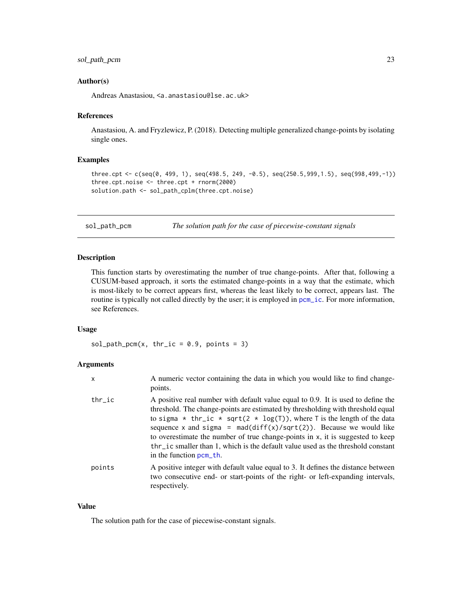# <span id="page-22-0"></span>Author(s)

Andreas Anastasiou, <a.anastasiou@lse.ac.uk>

#### References

Anastasiou, A. and Fryzlewicz, P. (2018). Detecting multiple generalized change-points by isolating single ones.

# Examples

```
three.cpt <- c(seq(0, 499, 1), seq(498.5, 249, -0.5), seq(250.5,999,1.5), seq(998,499,-1))
three.cpt.noise <- three.cpt + rnorm(2000)
solution.path <- sol_path_cplm(three.cpt.noise)
```
<span id="page-22-1"></span>

sol\_path\_pcm *The solution path for the case of piecewise-constant signals*

## Description

This function starts by overestimating the number of true change-points. After that, following a CUSUM-based approach, it sorts the estimated change-points in a way that the estimate, which is most-likely to be correct appears first, whereas the least likely to be correct, appears last. The routine is typically not called directly by the user; it is employed in pcm<sub>ri</sub>c. For more information, see References.

## Usage

sol\_path\_pcm(x, thr\_ic =  $0.9$ , points = 3)

# Arguments

| X         | A numeric vector containing the data in which you would like to find change-<br>points.                                                                                                                                                                                                                                                                                                                                                                                                                                             |
|-----------|-------------------------------------------------------------------------------------------------------------------------------------------------------------------------------------------------------------------------------------------------------------------------------------------------------------------------------------------------------------------------------------------------------------------------------------------------------------------------------------------------------------------------------------|
| $thr\_ic$ | A positive real number with default value equal to 0.9. It is used to define the<br>threshold. The change-points are estimated by thresholding with threshold equal<br>to sigma * thr_ic * sqrt(2 * log(T)), where T is the length of the data<br>sequence x and sigma = $\text{mad}(diff(x)/sqrt(2))$ . Because we would like<br>to overestimate the number of true change-points in x, it is suggested to keep<br>thr_ic smaller than 1, which is the default value used as the threshold constant<br>in the function $perm-th$ . |
| points    | A positive integer with default value equal to 3. It defines the distance between<br>two consecutive end- or start-points of the right- or left-expanding intervals,<br>respectively.                                                                                                                                                                                                                                                                                                                                               |

# Value

The solution path for the case of piecewise-constant signals.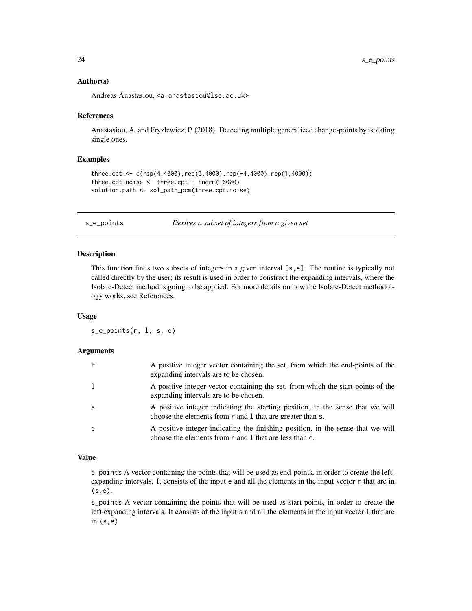# <span id="page-23-0"></span>Author(s)

Andreas Anastasiou, <a.anastasiou@lse.ac.uk>

# References

Anastasiou, A. and Fryzlewicz, P. (2018). Detecting multiple generalized change-points by isolating single ones.

# Examples

```
three.cpt <- c(rep(4,4000),rep(0,4000),rep(-4,4000),rep(1,4000))
three.cpt.noise <- three.cpt + rnorm(16000)
solution.path <- sol_path_pcm(three.cpt.noise)
```
s\_e\_points *Derives a subset of integers from a given set*

# Description

This function finds two subsets of integers in a given interval [s,e]. The routine is typically not called directly by the user; its result is used in order to construct the expanding intervals, where the Isolate-Detect method is going to be applied. For more details on how the Isolate-Detect methodology works, see References.

# Usage

s\_e\_points(r, l, s, e)

#### Arguments

| $\mathsf{r}$ | A positive integer vector containing the set, from which the end-points of the<br>expanding intervals are to be chosen.                     |
|--------------|---------------------------------------------------------------------------------------------------------------------------------------------|
| 1            | A positive integer vector containing the set, from which the start-points of the<br>expanding intervals are to be chosen.                   |
| <sub>S</sub> | A positive integer indicating the starting position, in the sense that we will<br>choose the elements from r and 1 that are greater than s. |
| e            | A positive integer indicating the finishing position, in the sense that we will<br>choose the elements from r and 1 that are less than e.   |

# Value

e\_points A vector containing the points that will be used as end-points, in order to create the leftexpanding intervals. It consists of the input e and all the elements in the input vector r that are in (s,e).

s\_points A vector containing the points that will be used as start-points, in order to create the left-expanding intervals. It consists of the input s and all the elements in the input vector l that are in  $(s, e)$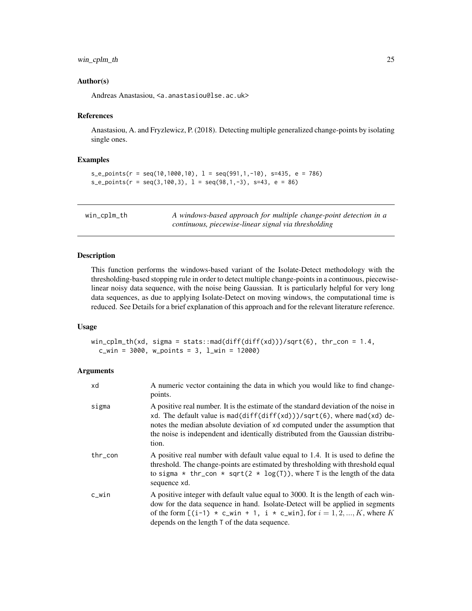# <span id="page-24-0"></span>win\_cplm\_th 25

# Author(s)

Andreas Anastasiou, <a.anastasiou@lse.ac.uk>

#### References

Anastasiou, A. and Fryzlewicz, P. (2018). Detecting multiple generalized change-points by isolating single ones.

# Examples

```
s_e-points(r = seq(10,1000,10), l = seq(991, 1, -10), s=435, e = 786)
s_e = \text{points}(r = \text{seq}(3, 100, 3), 1 = \text{seq}(98, 1, -3), s = 43, e = 86)
```
<span id="page-24-1"></span>win\_cplm\_th *A windows-based approach for multiple change-point detection in a continuous, piecewise-linear signal via thresholding*

# Description

This function performs the windows-based variant of the Isolate-Detect methodology with the thresholding-based stopping rule in order to detect multiple change-points in a continuous, piecewiselinear noisy data sequence, with the noise being Gaussian. It is particularly helpful for very long data sequences, as due to applying Isolate-Detect on moving windows, the computational time is reduced. See Details for a brief explanation of this approach and for the relevant literature reference.

#### Usage

```
win_cplm_th(xd, sigma = stats::mad(diff(diff(xd)))/sqrt(6), thr_con = 1.4,
 c_win = 3000, w_points = 3, l_win = 12000)
```
# **Arguments**

| xd      | A numeric vector containing the data in which you would like to find change-<br>points.                                                                                                                                                                                                                                                      |
|---------|----------------------------------------------------------------------------------------------------------------------------------------------------------------------------------------------------------------------------------------------------------------------------------------------------------------------------------------------|
| sigma   | A positive real number. It is the estimate of the standard deviation of the noise in<br>xd. The default value is mad(diff(diff(xd)))/sqrt(6), where mad(xd) de-<br>notes the median absolute deviation of xd computed under the assumption that<br>the noise is independent and identically distributed from the Gaussian distribu-<br>tion. |
| thr_con | A positive real number with default value equal to 1.4. It is used to define the<br>threshold. The change-points are estimated by thresholding with threshold equal<br>to sigma * thr_con * sqrt(2 * log(T)), where T is the length of the data<br>sequence xd.                                                                              |
| c_win   | A positive integer with default value equal to 3000. It is the length of each win-<br>dow for the data sequence in hand. Isolate-Detect will be applied in segments<br>of the form $[(i-1) * c_{\text{win}} + 1, i * c_{\text{win}}]$ , for $i = 1, 2, , K$ , where K<br>depends on the length $\top$ of the data sequence.                  |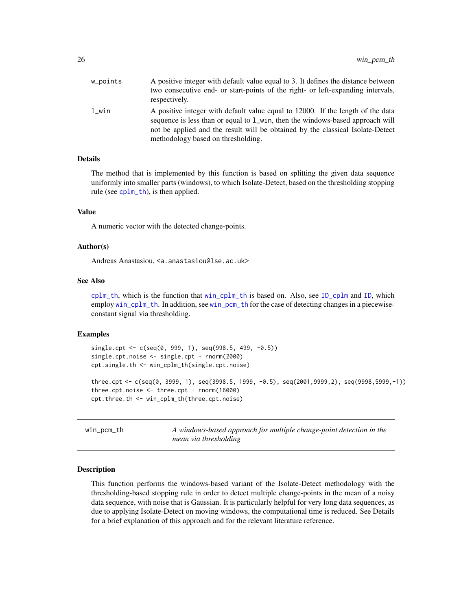<span id="page-25-0"></span>

| w_points | A positive integer with default value equal to 3. It defines the distance between<br>two consecutive end- or start-points of the right- or left-expanding intervals,<br>respectively.                                                                                                    |
|----------|------------------------------------------------------------------------------------------------------------------------------------------------------------------------------------------------------------------------------------------------------------------------------------------|
| l win    | A positive integer with default value equal to 12000. If the length of the data<br>sequence is less than or equal to 1_win, then the windows-based approach will<br>not be applied and the result will be obtained by the classical Isolate-Detect<br>methodology based on thresholding. |

# Details

The method that is implemented by this function is based on splitting the given data sequence uniformly into smaller parts (windows), to which Isolate-Detect, based on the thresholding stopping rule (see [cplm\\_th](#page-2-1)), is then applied.

# Value

A numeric vector with the detected change-points.

# Author(s)

Andreas Anastasiou, <a.anastasiou@lse.ac.uk>

#### See Also

[cplm\\_th](#page-2-1), which is the function that [win\\_cplm\\_th](#page-24-1) is based on. Also, see [ID\\_cplm](#page-12-1) and [ID](#page-9-1), which employ [win\\_cplm\\_th](#page-24-1). In addition, see [win\\_pcm\\_th](#page-25-1) for the case of detecting changes in a piecewiseconstant signal via thresholding.

# Examples

```
single.cpt <- c(seq(0, 999, 1), seq(998.5, 499, -0.5))
single.cpt.noise <- single.cpt + rnorm(2000)
cpt.single.th <- win_cplm_th(single.cpt.noise)
three.cpt <- c(seq(0, 3999, 1), seq(3998.5, 1999, -0.5), seq(2001,9999,2), seq(9998,5999,-1))
three.cpt.noise <- three.cpt + rnorm(16000)
cpt.three.th <- win_cplm_th(three.cpt.noise)
```
<span id="page-25-1"></span>win\_pcm\_th *A windows-based approach for multiple change-point detection in the mean via thresholding*

#### Description

This function performs the windows-based variant of the Isolate-Detect methodology with the thresholding-based stopping rule in order to detect multiple change-points in the mean of a noisy data sequence, with noise that is Gaussian. It is particularly helpful for very long data sequences, as due to applying Isolate-Detect on moving windows, the computational time is reduced. See Details for a brief explanation of this approach and for the relevant literature reference.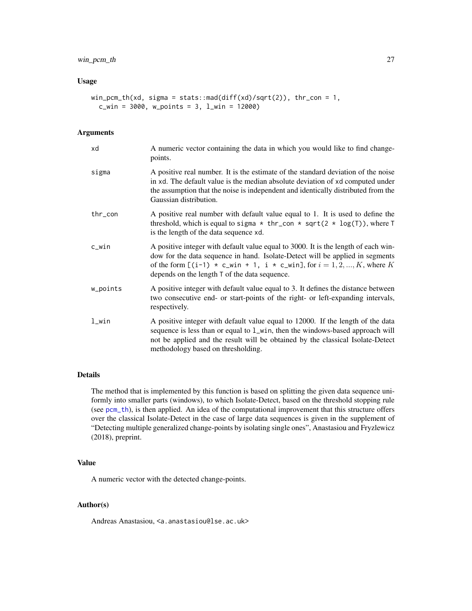# <span id="page-26-0"></span>win\_pcm\_th 27

# Usage

```
win_pcm_th(xd, sigma = stats::mad(diff(xd)/sqrt(2)), thr_con = 1,
 c_win = 3000, w_points = 3, l_win = 12000)
```
# Arguments

| xd       | A numeric vector containing the data in which you would like to find change-<br>points.                                                                                                                                                                                                                                |
|----------|------------------------------------------------------------------------------------------------------------------------------------------------------------------------------------------------------------------------------------------------------------------------------------------------------------------------|
| sigma    | A positive real number. It is the estimate of the standard deviation of the noise<br>in xd. The default value is the median absolute deviation of xd computed under<br>the assumption that the noise is independent and identically distributed from the<br>Gaussian distribution.                                     |
| thr_con  | A positive real number with default value equal to 1. It is used to define the<br>threshold, which is equal to sigma $*$ thr_con $*$ sqrt(2 $*$ log(T)), where T<br>is the length of the data sequence xd.                                                                                                             |
| c_win    | A positive integer with default value equal to 3000. It is the length of each win-<br>dow for the data sequence in hand. Isolate-Detect will be applied in segments<br>of the form $[(i-1) * c_{\text{win}} + 1, i * c_{\text{win}}]$ , for $i = 1, 2, , K$ , where K<br>depends on the length T of the data sequence. |
| w_points | A positive integer with default value equal to 3. It defines the distance between<br>two consecutive end- or start-points of the right- or left-expanding intervals,<br>respectively.                                                                                                                                  |
| l_win    | A positive integer with default value equal to 12000. If the length of the data<br>sequence is less than or equal to 1_win, then the windows-based approach will<br>not be applied and the result will be obtained by the classical Isolate-Detect<br>methodology based on thresholding.                               |

# Details

The method that is implemented by this function is based on splitting the given data sequence uniformly into smaller parts (windows), to which Isolate-Detect, based on the threshold stopping rule (see [pcm\\_th](#page-18-1)), is then applied. An idea of the computational improvement that this structure offers over the classical Isolate-Detect in the case of large data sequences is given in the supplement of "Detecting multiple generalized change-points by isolating single ones", Anastasiou and Fryzlewicz (2018), preprint.

# Value

A numeric vector with the detected change-points.

# Author(s)

Andreas Anastasiou, <a.anastasiou@lse.ac.uk>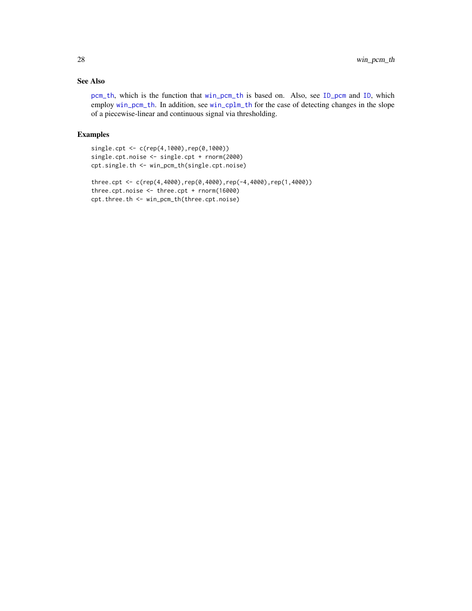# <span id="page-27-0"></span>See Also

[pcm\\_th](#page-18-1), which is the function that [win\\_pcm\\_th](#page-25-1) is based on. Also, see [ID\\_pcm](#page-14-1) and [ID](#page-9-1), which employ [win\\_pcm\\_th](#page-25-1). In addition, see [win\\_cplm\\_th](#page-24-1) for the case of detecting changes in the slope of a piecewise-linear and continuous signal via thresholding.

# Examples

```
single.cpt <- c(rep(4,1000),rep(0,1000))
single.cpt.noise <- single.cpt + rnorm(2000)
cpt.single.th <- win_pcm_th(single.cpt.noise)
three.cpt <- c(rep(4,4000),rep(0,4000),rep(-4,4000),rep(1,4000))
three.cpt.noise <- three.cpt + rnorm(16000)
cpt.three.th <- win_pcm_th(three.cpt.noise)
```